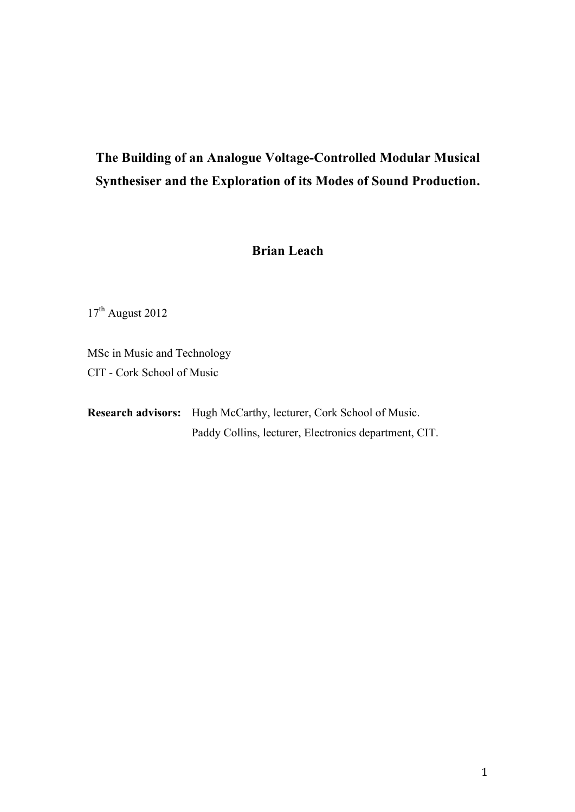# **The Building of an Analogue Voltage-Controlled Modular Musical Synthesiser and the Exploration of its Modes of Sound Production.**

### **Brian Leach**

 $17^{\text{th}}$  August 2012

MSc in Music and Technology CIT - Cork School of Music

**Research advisors:** Hugh McCarthy, lecturer, Cork School of Music. Paddy Collins, lecturer, Electronics department, CIT.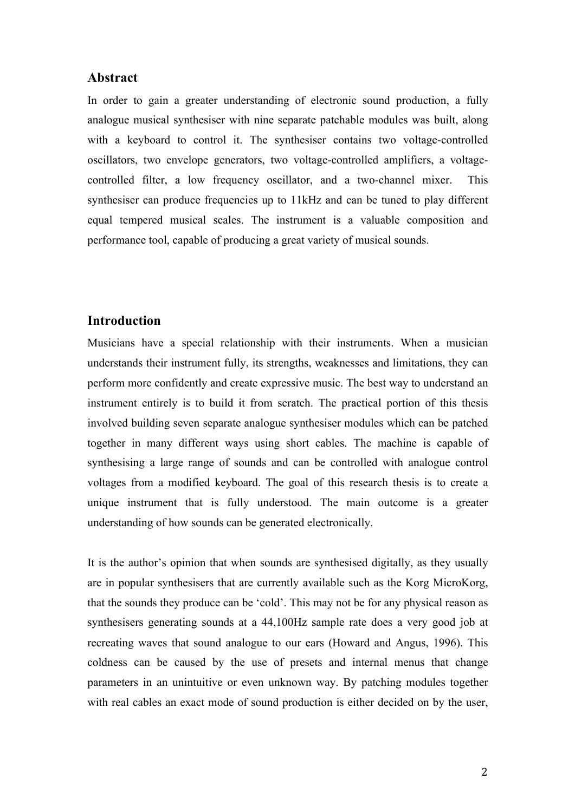### **Abstract**

In order to gain a greater understanding of electronic sound production, a fully analogue musical synthesiser with nine separate patchable modules was built, along with a keyboard to control it. The synthesiser contains two voltage-controlled oscillators, two envelope generators, two voltage-controlled amplifiers, a voltagecontrolled filter, a low frequency oscillator, and a two-channel mixer. This synthesiser can produce frequencies up to 11kHz and can be tuned to play different equal tempered musical scales. The instrument is a valuable composition and performance tool, capable of producing a great variety of musical sounds.

### **Introduction**

Musicians have a special relationship with their instruments. When a musician understands their instrument fully, its strengths, weaknesses and limitations, they can perform more confidently and create expressive music. The best way to understand an instrument entirely is to build it from scratch. The practical portion of this thesis involved building seven separate analogue synthesiser modules which can be patched together in many different ways using short cables. The machine is capable of synthesising a large range of sounds and can be controlled with analogue control voltages from a modified keyboard. The goal of this research thesis is to create a unique instrument that is fully understood. The main outcome is a greater understanding of how sounds can be generated electronically.

It is the author's opinion that when sounds are synthesised digitally, as they usually are in popular synthesisers that are currently available such as the Korg MicroKorg, that the sounds they produce can be 'cold'. This may not be for any physical reason as synthesisers generating sounds at a 44,100Hz sample rate does a very good job at recreating waves that sound analogue to our ears (Howard and Angus, 1996). This coldness can be caused by the use of presets and internal menus that change parameters in an unintuitive or even unknown way. By patching modules together with real cables an exact mode of sound production is either decided on by the user,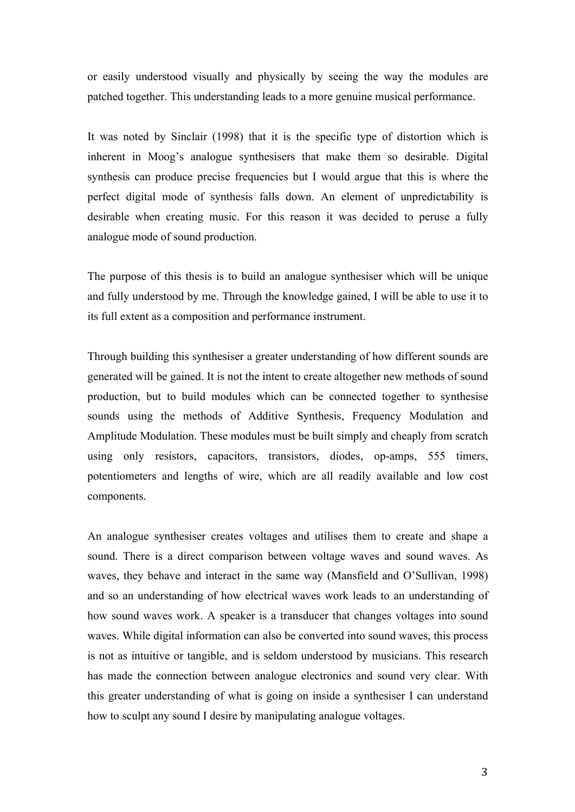or easily understood visually and physically by seeing the way the modules are patched together. This understanding leads to a more genuine musical performance.

It was noted by Sinclair (1998) that it is the specific type of distortion which is inherent in Moog's analogue synthesisers that make them so desirable. Digital synthesis can produce precise frequencies but I would argue that this is where the perfect digital mode of synthesis falls down. An element of unpredictability is desirable when creating music. For this reason it was decided to peruse a fully analogue mode of sound production.

The purpose of this thesis is to build an analogue synthesiser which will be unique and fully understood by me. Through the knowledge gained, I will be able to use it to its full extent as a composition and performance instrument.

Through building this synthesiser a greater understanding of how different sounds are generated will be gained. It is not the intent to create altogether new methods of sound production, but to build modules which can be connected together to synthesise sounds using the methods of Additive Synthesis, Frequency Modulation and Amplitude Modulation. These modules must be built simply and cheaply from scratch using only resistors, capacitors, transistors, diodes, op-amps, 555 timers, potentiometers and lengths of wire, which are all readily available and low cost components.

An analogue synthesiser creates voltages and utilises them to create and shape a sound. There is a direct comparison between voltage waves and sound waves. As waves, they behave and interact in the same way (Mansfield and O'Sullivan, 1998) and so an understanding of how electrical waves work leads to an understanding of how sound waves work. A speaker is a transducer that changes voltages into sound waves. While digital information can also be converted into sound waves, this process is not as intuitive or tangible, and is seldom understood by musicians. This research has made the connection between analogue electronics and sound very clear. With this greater understanding of what is going on inside a synthesiser I can understand how to sculpt any sound I desire by manipulating analogue voltages.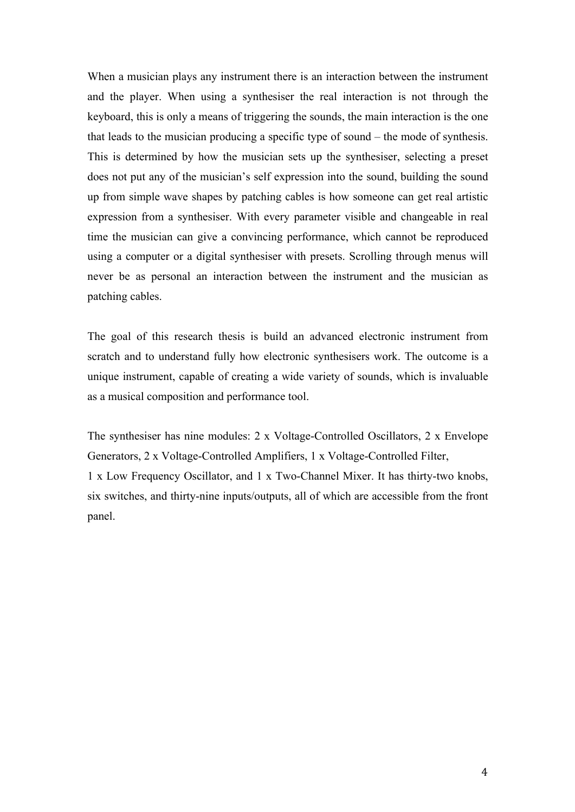When a musician plays any instrument there is an interaction between the instrument and the player. When using a synthesiser the real interaction is not through the keyboard, this is only a means of triggering the sounds, the main interaction is the one that leads to the musician producing a specific type of sound – the mode of synthesis. This is determined by how the musician sets up the synthesiser, selecting a preset does not put any of the musician's self expression into the sound, building the sound up from simple wave shapes by patching cables is how someone can get real artistic expression from a synthesiser. With every parameter visible and changeable in real time the musician can give a convincing performance, which cannot be reproduced using a computer or a digital synthesiser with presets. Scrolling through menus will never be as personal an interaction between the instrument and the musician as patching cables.

The goal of this research thesis is build an advanced electronic instrument from scratch and to understand fully how electronic synthesisers work. The outcome is a unique instrument, capable of creating a wide variety of sounds, which is invaluable as a musical composition and performance tool.

The synthesiser has nine modules: 2 x Voltage-Controlled Oscillators, 2 x Envelope Generators, 2 x Voltage-Controlled Amplifiers, 1 x Voltage-Controlled Filter, 1 x Low Frequency Oscillator, and 1 x Two-Channel Mixer. It has thirty-two knobs, six switches, and thirty-nine inputs/outputs, all of which are accessible from the front panel.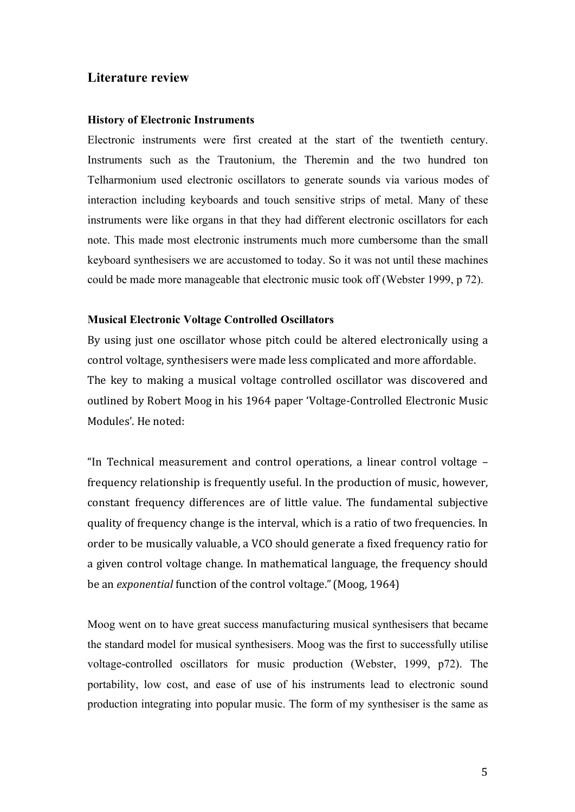### **Literature review**

### **History of Electronic Instruments**

Electronic instruments were first created at the start of the twentieth century. Instruments such as the Trautonium, the Theremin and the two hundred ton Telharmonium used electronic oscillators to generate sounds via various modes of interaction including keyboards and touch sensitive strips of metal. Many of these instruments were like organs in that they had different electronic oscillators for each note. This made most electronic instruments much more cumbersome than the small keyboard synthesisers we are accustomed to today. So it was not until these machines could be made more manageable that electronic music took off (Webster 1999, p 72).

### **Musical Electronic Voltage Controlled Oscillators**

By using just one oscillator whose pitch could be altered electronically using a control voltage, synthesisers were made less complicated and more affordable. The key to making a musical voltage controlled oscillator was discovered and outlined by Robert Moog in his 1964 paper 'Voltage-Controlled Electronic Music Modules'. He noted:

"In Technical measurement and control operations, a linear control voltage frequency relationship is frequently useful. In the production of music, however, constant frequency differences are of little value. The fundamental subjective quality of frequency change is the interval, which is a ratio of two frequencies. In order to be musically valuable, a VCO should generate a fixed frequency ratio for a given control voltage change. In mathematical language, the frequency should be an exponential function of the control voltage." (Moog, 1964)

Moog went on to have great success manufacturing musical synthesisers that became the standard model for musical synthesisers. Moog was the first to successfully utilise voltage-controlled oscillators for music production (Webster, 1999, p72). The portability, low cost, and ease of use of his instruments lead to electronic sound production integrating into popular music. The form of my synthesiser is the same as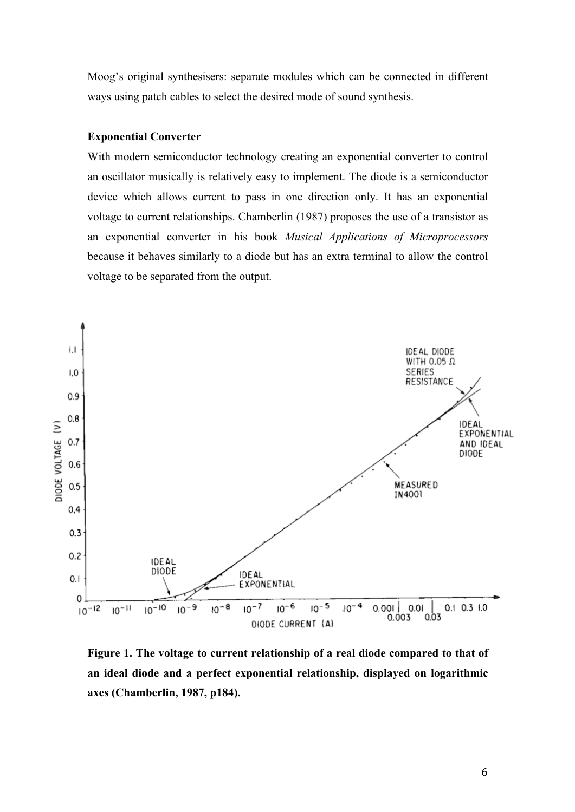Moog's original synthesisers: separate modules which can be connected in different ways using patch cables to select the desired mode of sound synthesis.

### **Exponential Converter**

With modern semiconductor technology creating an exponential converter to control an oscillator musically is relatively easy to implement. The diode is a semiconductor device which allows current to pass in one direction only. It has an exponential voltage to current relationships. Chamberlin (1987) proposes the use of a transistor as an exponential converter in his book *Musical Applications of Microprocessors* because it behaves similarly to a diode but has an extra terminal to allow the control voltage to be separated from the output.



**Figure 1. The voltage to current relationship of a real diode compared to that of an ideal diode and a perfect exponential relationship, displayed on logarithmic axes (Chamberlin, 1987, p184).**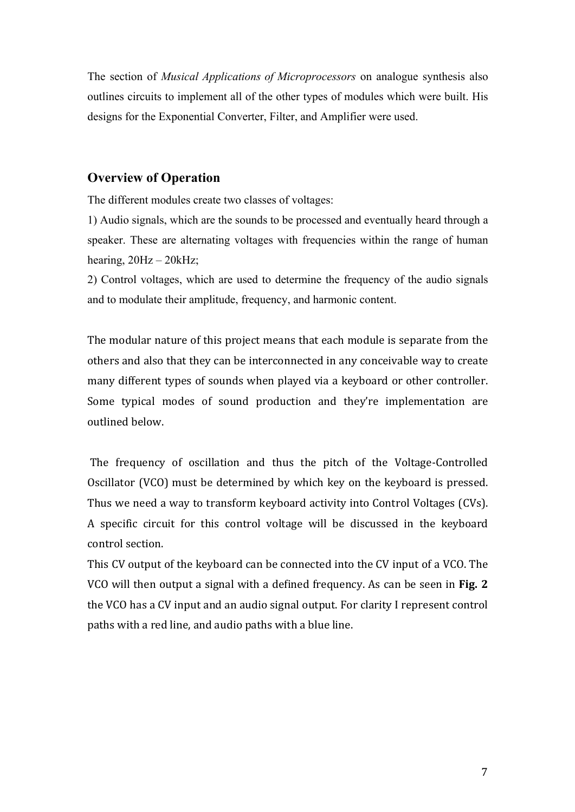The section of *Musical Applications of Microprocessors* on analogue synthesis also outlines circuits to implement all of the other types of modules which were built. His designs for the Exponential Converter, Filter, and Amplifier were used.

### **Overview of Operation**

The different modules create two classes of voltages:

1) Audio signals, which are the sounds to be processed and eventually heard through a speaker. These are alternating voltages with frequencies within the range of human hearing,  $20Hz - 20kHz$ ;

2) Control voltages, which are used to determine the frequency of the audio signals and to modulate their amplitude, frequency, and harmonic content.

The modular nature of this project means that each module is separate from the others and also that they can be interconnected in any conceivable way to create many different types of sounds when played via a keyboard or other controller. Some typical modes of sound production and they're implementation are outlined below.

The frequency of oscillation and thus the pitch of the Voltage-Controlled Oscillator (VCO) must be determined by which key on the keyboard is pressed. Thus we need a way to transform keyboard activity into Control Voltages (CVs). A specific circuit for this control voltage will be discussed in the keyboard control section.

This CV output of the keyboard can be connected into the CV input of a VCO. The VCO will then output a signal with a defined frequency. As can be seen in Fig. 2 the VCO has a CV input and an audio signal output. For clarity I represent control paths with a red line, and audio paths with a blue line.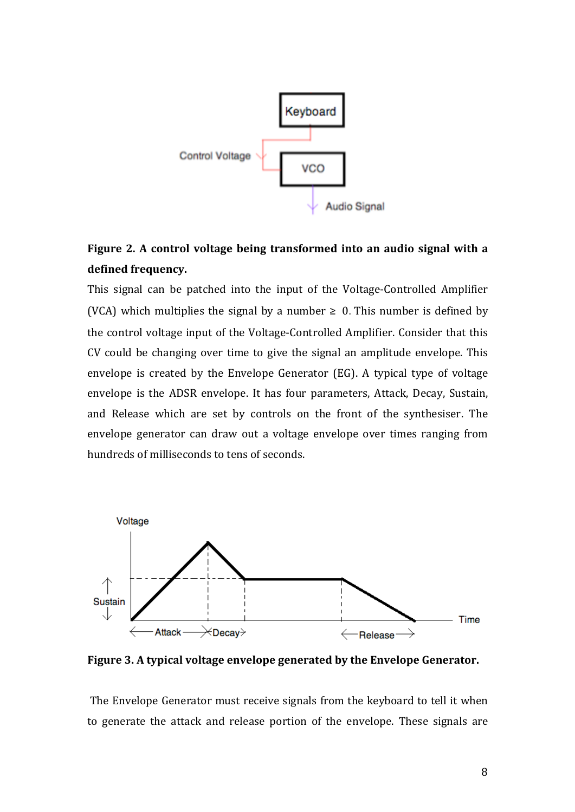

# Figure 2. A control voltage being transformed into an audio signal with a defined frequency.

This signal can be patched into the input of the Voltage-Controlled Amplifier (VCA) which multiplies the signal by a number  $\geq 0$ . This number is defined by the control voltage input of the Voltage-Controlled Amplifier. Consider that this CV could be changing over time to give the signal an amplitude envelope. This envelope is created by the Envelope Generator (EG). A typical type of voltage envelope is the ADSR envelope. It has four parameters, Attack, Decay, Sustain, and Release which are set by controls on the front of the synthesiser. The envelope generator can draw out a voltage envelope over times ranging from hundreds of milliseconds to tens of seconds.



Figure 3. A typical voltage envelope generated by the Envelope Generator.

The Envelope Generator must receive signals from the keyboard to tell it when to generate the attack and release portion of the envelope. These signals are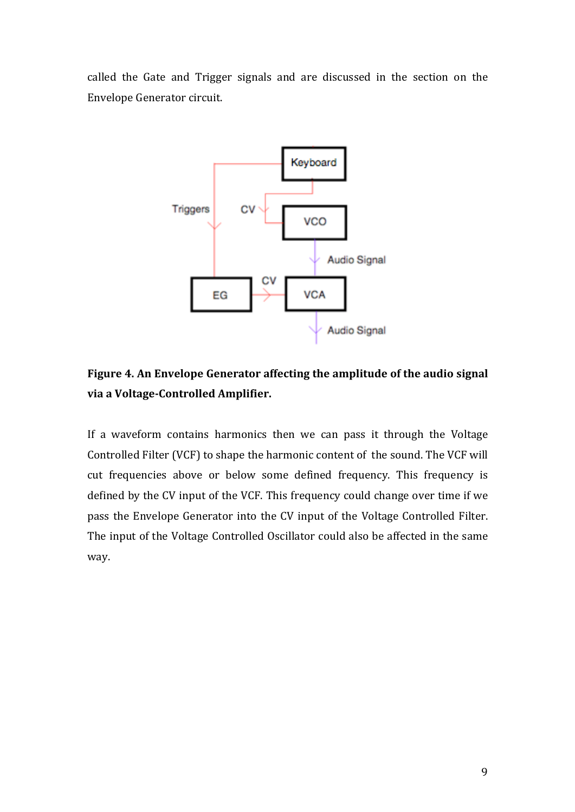called the Gate and Trigger signals and are discussed in the section on the Envelope Generator circuit.



## Figure 4. An Envelope Generator affecting the amplitude of the audio signal via a Voltage-Controlled Amplifier.

If a waveform contains harmonics then we can pass it through the Voltage Controlled Filter (VCF) to shape the harmonic content of the sound. The VCF will cut frequencies above or below some defined frequency. This frequency is defined by the CV input of the VCF. This frequency could change over time if we pass the Envelope Generator into the CV input of the Voltage Controlled Filter. The input of the Voltage Controlled Oscillator could also be affected in the same way.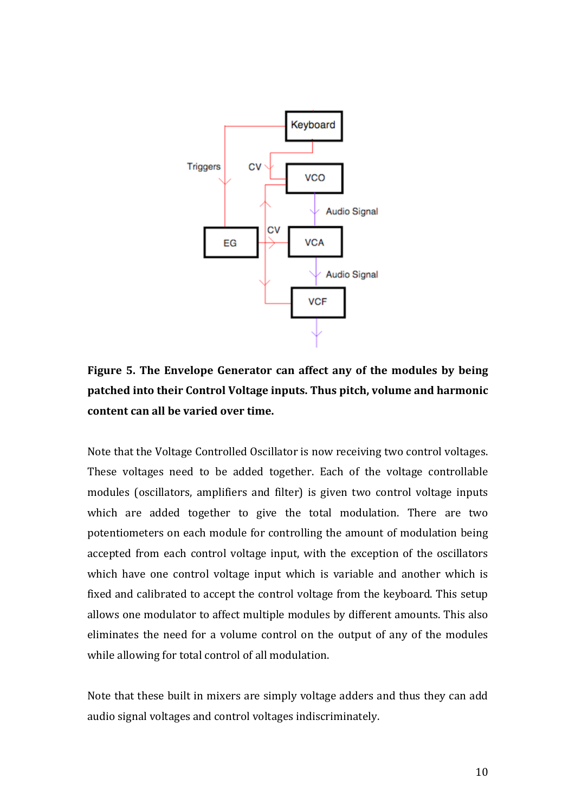

Figure 5. The Envelope Generator can affect any of the modules by being patched into their Control Voltage inputs. Thus pitch, volume and harmonic content can all be varied over time.

Note that the Voltage Controlled Oscillator is now receiving two control voltages. These voltages need to be added together. Each of the voltage controllable modules (oscillators, amplifiers and filter) is given two control voltage inputs which are added together to give the total modulation. There are two potentiometers on each module for controlling the amount of modulation being accepted from each control voltage input, with the exception of the oscillators which have one control voltage input which is variable and another which is fixed and calibrated to accept the control voltage from the keyboard. This setup allows one modulator to affect multiple modules by different amounts. This also eliminates the need for a volume control on the output of any of the modules while allowing for total control of all modulation.

Note that these built in mixers are simply voltage adders and thus they can add audio signal voltages and control voltages indiscriminately.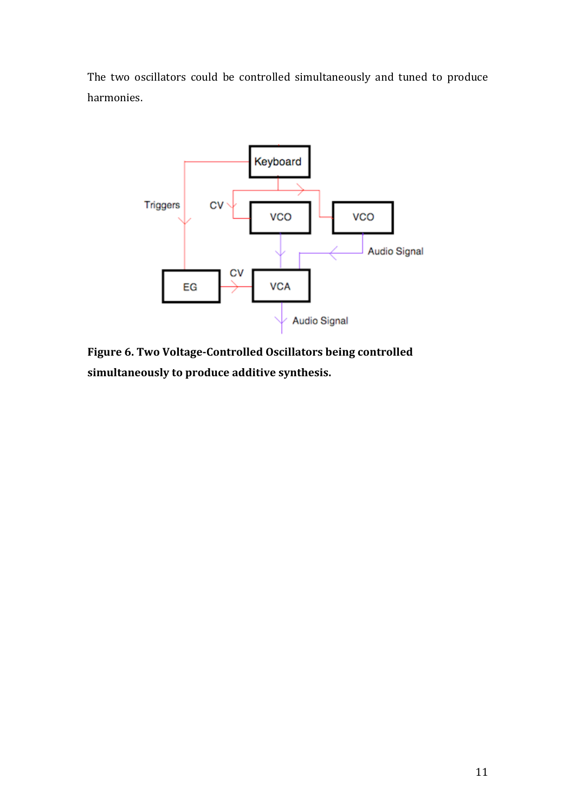The two oscillators could be controlled simultaneously and tuned to produce harmonies.



Figure 6. Two Voltage-Controlled Oscillators being controlled simultaneously to produce additive synthesis.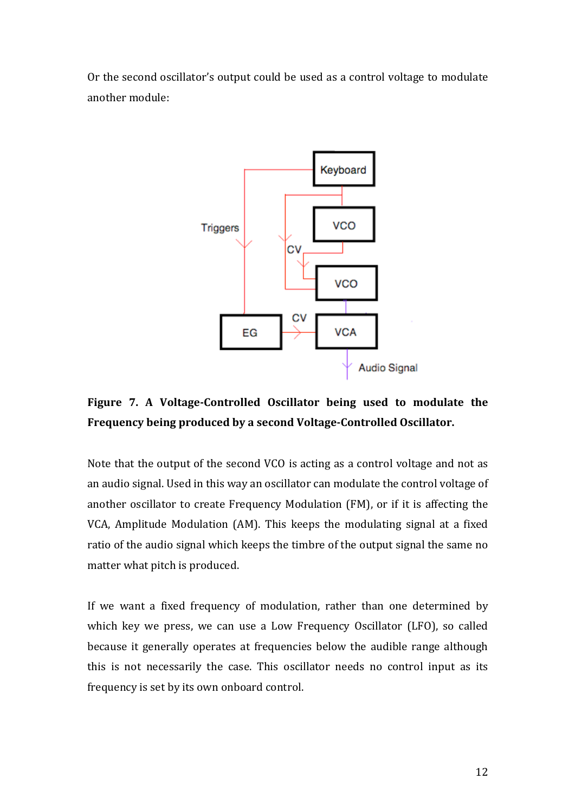Or the second oscillator's output could be used as a control voltage to modulate another module:



# Figure 7. A Voltage-Controlled Oscillator being used to modulate the Frequency being produced by a second Voltage-Controlled Oscillator.

Note that the output of the second VCO is acting as a control voltage and not as an audio signal. Used in this way an oscillator can modulate the control voltage of another oscillator to create Frequency Modulation (FM), or if it is affecting the VCA, Amplitude Modulation (AM). This keeps the modulating signal at a fixed ratio of the audio signal which keeps the timbre of the output signal the same no matter what pitch is produced.

If we want a fixed frequency of modulation, rather than one determined by which key we press, we can use a Low Frequency Oscillator (LFO), so called because it generally operates at frequencies below the audible range although this is not necessarily the case. This oscillator needs no control input as its frequency is set by its own onboard control.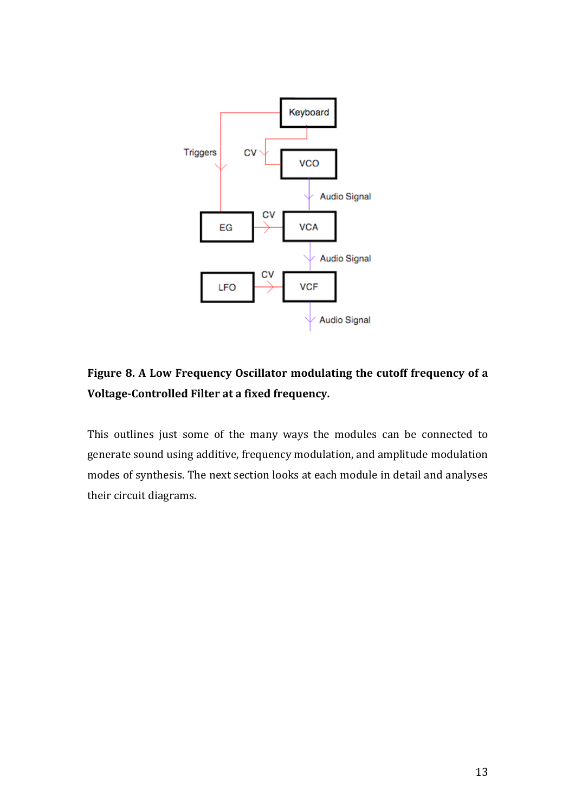

# Figure 8. A Low Frequency Oscillator modulating the cutoff frequency of a Voltage-Controlled Filter at a fixed frequency.

This outlines just some of the many ways the modules can be connected to generate sound using additive, frequency modulation, and amplitude modulation modes of synthesis. The next section looks at each module in detail and analyses their circuit diagrams.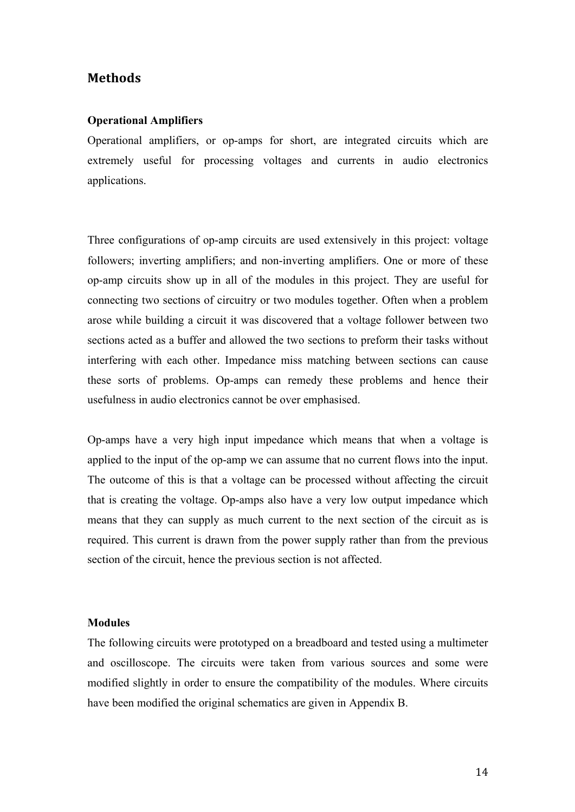### Methods

### **Operational Amplifiers**

Operational amplifiers, or op-amps for short, are integrated circuits which are extremely useful for processing voltages and currents in audio electronics applications.

Three configurations of op-amp circuits are used extensively in this project: voltage followers; inverting amplifiers; and non-inverting amplifiers. One or more of these op-amp circuits show up in all of the modules in this project. They are useful for connecting two sections of circuitry or two modules together. Often when a problem arose while building a circuit it was discovered that a voltage follower between two sections acted as a buffer and allowed the two sections to preform their tasks without interfering with each other. Impedance miss matching between sections can cause these sorts of problems. Op-amps can remedy these problems and hence their usefulness in audio electronics cannot be over emphasised.

Op-amps have a very high input impedance which means that when a voltage is applied to the input of the op-amp we can assume that no current flows into the input. The outcome of this is that a voltage can be processed without affecting the circuit that is creating the voltage. Op-amps also have a very low output impedance which means that they can supply as much current to the next section of the circuit as is required. This current is drawn from the power supply rather than from the previous section of the circuit, hence the previous section is not affected.

#### **Modules**

The following circuits were prototyped on a breadboard and tested using a multimeter and oscilloscope. The circuits were taken from various sources and some were modified slightly in order to ensure the compatibility of the modules. Where circuits have been modified the original schematics are given in Appendix B.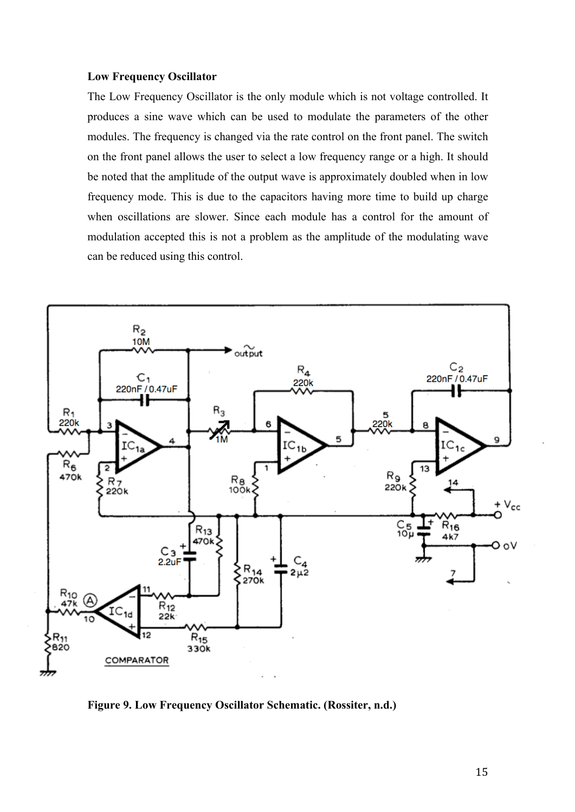#### **Low Frequency Oscillator**

The Low Frequency Oscillator is the only module which is not voltage controlled. It produces a sine wave which can be used to modulate the parameters of the other modules. The frequency is changed via the rate control on the front panel. The switch on the front panel allows the user to select a low frequency range or a high. It should be noted that the amplitude of the output wave is approximately doubled when in low frequency mode. This is due to the capacitors having more time to build up charge when oscillations are slower. Since each module has a control for the amount of modulation accepted this is not a problem as the amplitude of the modulating wave can be reduced using this control.



**Figure 9. Low Frequency Oscillator Schematic. (Rossiter, n.d.)**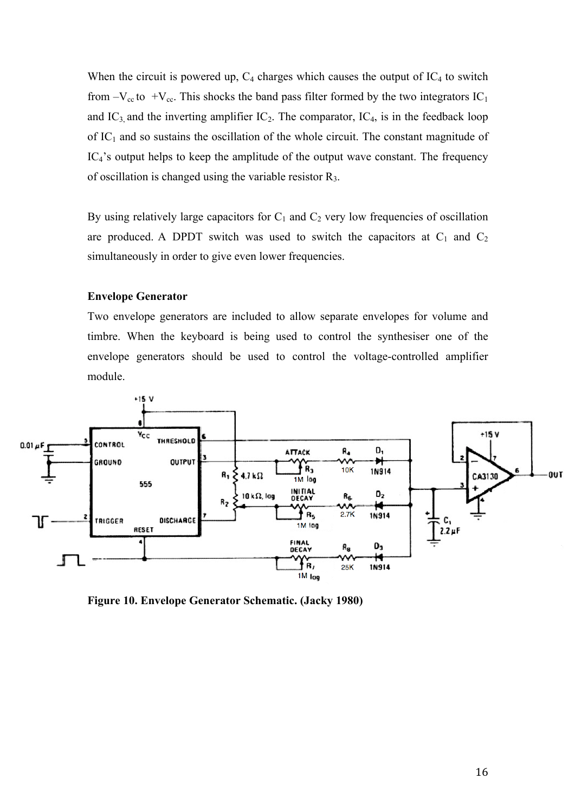When the circuit is powered up,  $C_4$  charges which causes the output of  $IC_4$  to switch from  $-V_{\text{cc}}$  to  $+V_{\text{cc}}$ . This shocks the band pass filter formed by the two integrators IC<sub>1</sub> and  $IC_3$  and the inverting amplifier  $IC_2$ . The comparator,  $IC_4$ , is in the feedback loop of  $IC_1$  and so sustains the oscillation of the whole circuit. The constant magnitude of IC<sub>4</sub>'s output helps to keep the amplitude of the output wave constant. The frequency of oscillation is changed using the variable resistor R3.

By using relatively large capacitors for  $C_1$  and  $C_2$  very low frequencies of oscillation are produced. A DPDT switch was used to switch the capacitors at  $C_1$  and  $C_2$ simultaneously in order to give even lower frequencies.

### **Envelope Generator**

Two envelope generators are included to allow separate envelopes for volume and timbre. When the keyboard is being used to control the synthesiser one of the envelope generators should be used to control the voltage-controlled amplifier module.



**Figure 10. Envelope Generator Schematic. (Jacky 1980)**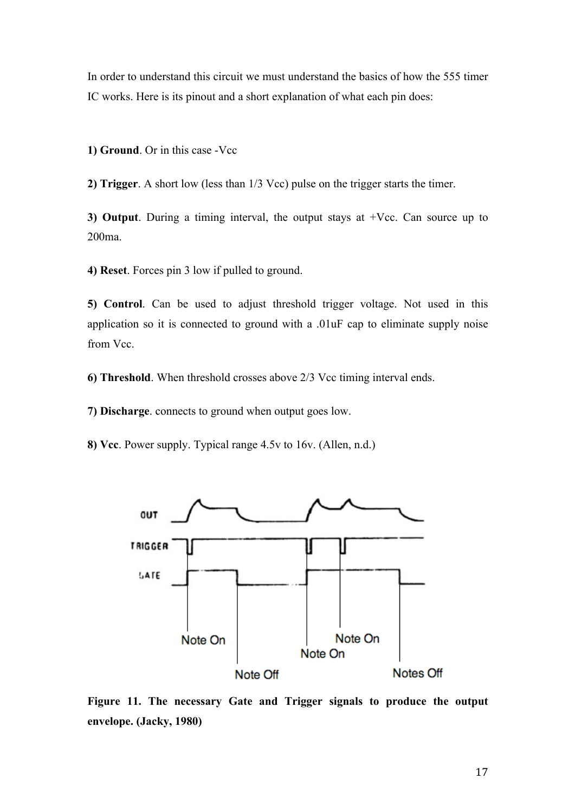In order to understand this circuit we must understand the basics of how the 555 timer IC works. Here is its pinout and a short explanation of what each pin does:

**1) Ground**. Or in this case -Vcc

**2) Trigger**. A short low (less than 1/3 Vcc) pulse on the trigger starts the timer.

**3) Output**. During a timing interval, the output stays at +Vcc. Can source up to 200ma.

**4) Reset**. Forces pin 3 low if pulled to ground.

**5) Control**. Can be used to adjust threshold trigger voltage. Not used in this application so it is connected to ground with a .01uF cap to eliminate supply noise from Vcc.

**6) Threshold**. When threshold crosses above 2/3 Vcc timing interval ends.

**7) Discharge**. connects to ground when output goes low.

**8) Vcc**. Power supply. Typical range 4.5v to 16v. (Allen, n.d.)



**Figure 11. The necessary Gate and Trigger signals to produce the output envelope. (Jacky, 1980)**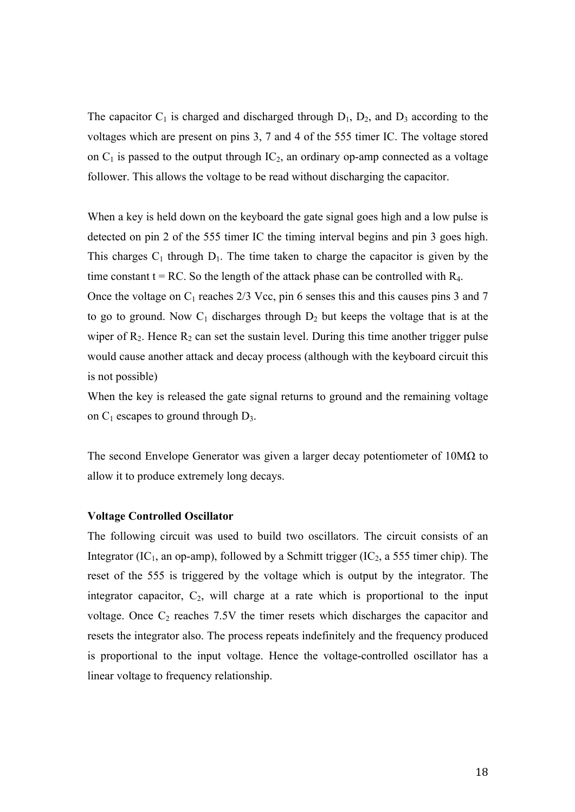The capacitor  $C_1$  is charged and discharged through  $D_1$ ,  $D_2$ , and  $D_3$  according to the voltages which are present on pins 3, 7 and 4 of the 555 timer IC. The voltage stored on  $C_1$  is passed to the output through  $IC_2$ , an ordinary op-amp connected as a voltage follower. This allows the voltage to be read without discharging the capacitor.

When a key is held down on the keyboard the gate signal goes high and a low pulse is detected on pin 2 of the 555 timer IC the timing interval begins and pin 3 goes high. This charges  $C_1$  through  $D_1$ . The time taken to charge the capacitor is given by the time constant  $t = RC$ . So the length of the attack phase can be controlled with  $R<sub>4</sub>$ . Once the voltage on  $C_1$  reaches 2/3 Vcc, pin 6 senses this and this causes pins 3 and 7 to go to ground. Now  $C_1$  discharges through  $D_2$  but keeps the voltage that is at the wiper of  $R_2$ . Hence  $R_2$  can set the sustain level. During this time another trigger pulse would cause another attack and decay process (although with the keyboard circuit this is not possible)

When the key is released the gate signal returns to ground and the remaining voltage on  $C_1$  escapes to ground through  $D_3$ .

The second Envelope Generator was given a larger decay potentiometer of  $10M\Omega$  to allow it to produce extremely long decays.

#### **Voltage Controlled Oscillator**

The following circuit was used to build two oscillators. The circuit consists of an Integrator (IC<sub>1</sub>, an op-amp), followed by a Schmitt trigger (IC<sub>2</sub>, a 555 timer chip). The reset of the 555 is triggered by the voltage which is output by the integrator. The integrator capacitor,  $C_2$ , will charge at a rate which is proportional to the input voltage. Once  $C_2$  reaches 7.5V the timer resets which discharges the capacitor and resets the integrator also. The process repeats indefinitely and the frequency produced is proportional to the input voltage. Hence the voltage-controlled oscillator has a linear voltage to frequency relationship.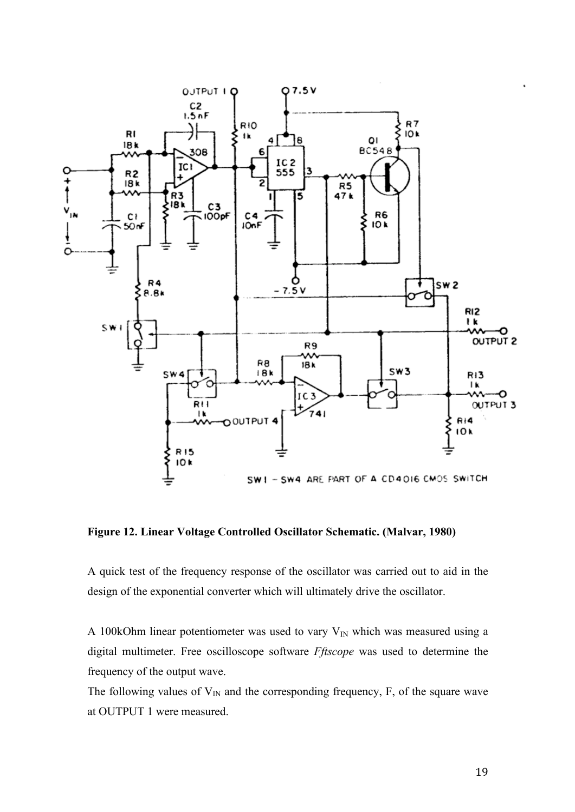

**Figure 12. Linear Voltage Controlled Oscillator Schematic. (Malvar, 1980)**

A quick test of the frequency response of the oscillator was carried out to aid in the design of the exponential converter which will ultimately drive the oscillator.

A 100kOhm linear potentiometer was used to vary  $V_{IN}$  which was measured using a digital multimeter. Free oscilloscope software *Fftscope* was used to determine the frequency of the output wave.

The following values of  $V_{IN}$  and the corresponding frequency, F, of the square wave at OUTPUT 1 were measured.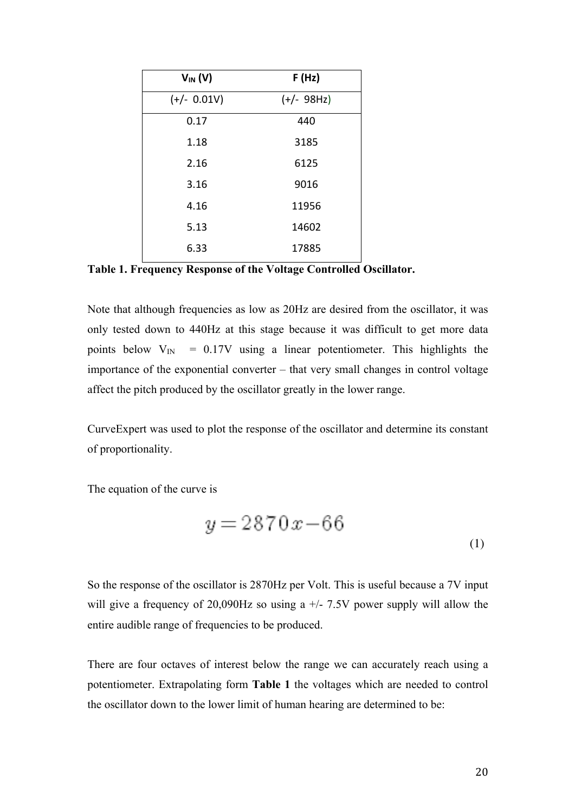| $V_{IN} (V)$  | F(Hz)        |
|---------------|--------------|
| $(+/- 0.01V)$ | $(+/- 98Hz)$ |
| 0.17          | 440          |
| 1.18          | 3185         |
| 2.16          | 6125         |
| 3.16          | 9016         |
| 4.16          | 11956        |
| 5.13          | 14602        |
| 6.33          | 17885        |

**Table 1. Frequency Response of the Voltage Controlled Oscillator.**

Note that although frequencies as low as 20Hz are desired from the oscillator, it was only tested down to 440Hz at this stage because it was difficult to get more data points below  $V_{\text{IN}}$  = 0.17V using a linear potentiometer. This highlights the importance of the exponential converter – that very small changes in control voltage affect the pitch produced by the oscillator greatly in the lower range.

CurveExpert was used to plot the response of the oscillator and determine its constant of proportionality.

The equation of the curve is

$$
y = 2870x - 66\tag{1}
$$

So the response of the oscillator is 2870Hz per Volt. This is useful because a 7V input will give a frequency of 20,090Hz so using a  $+/- 7.5V$  power supply will allow the entire audible range of frequencies to be produced.

There are four octaves of interest below the range we can accurately reach using a potentiometer. Extrapolating form **Table 1** the voltages which are needed to control the oscillator down to the lower limit of human hearing are determined to be: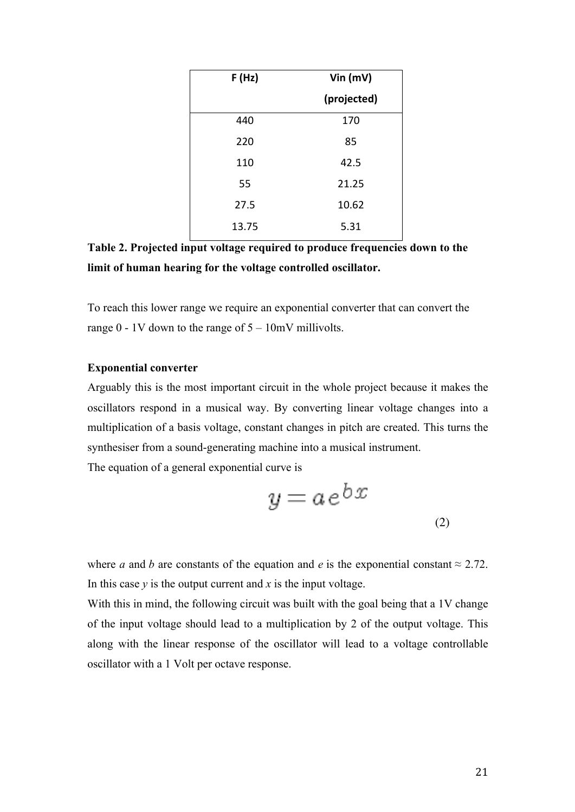| F(Hz) | Vin $(mV)$  |
|-------|-------------|
|       | (projected) |
| 440   | 170         |
| 220   | 85          |
| 110   | 42.5        |
| 55    | 21.25       |
| 27.5  | 10.62       |
| 13.75 | 5.31        |

**Table 2. Projected input voltage required to produce frequencies down to the limit of human hearing for the voltage controlled oscillator.**

To reach this lower range we require an exponential converter that can convert the range  $0 - 1V$  down to the range of  $5 - 10mV$  millivolts.

### **Exponential converter**

Arguably this is the most important circuit in the whole project because it makes the oscillators respond in a musical way. By converting linear voltage changes into a multiplication of a basis voltage, constant changes in pitch are created. This turns the synthesiser from a sound-generating machine into a musical instrument.

The equation of a general exponential curve is

$$
y = a e^{bx}
$$

where *a* and *b* are constants of the equation and *e* is the exponential constant  $\approx$  2.72. In this case  $y$  is the output current and  $x$  is the input voltage.

With this in mind, the following circuit was built with the goal being that a 1V change of the input voltage should lead to a multiplication by 2 of the output voltage. This along with the linear response of the oscillator will lead to a voltage controllable oscillator with a 1 Volt per octave response.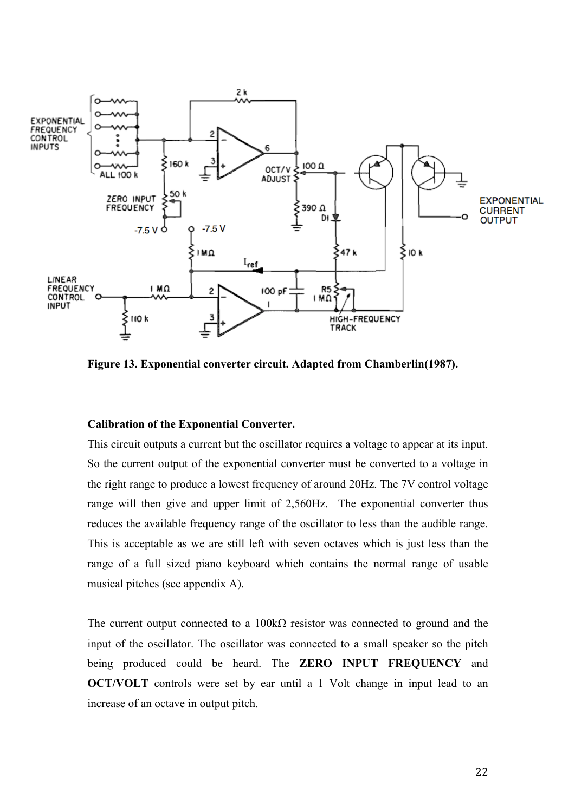

**Figure 13. Exponential converter circuit. Adapted from Chamberlin(1987).**

### **Calibration of the Exponential Converter.**

This circuit outputs a current but the oscillator requires a voltage to appear at its input. So the current output of the exponential converter must be converted to a voltage in the right range to produce a lowest frequency of around 20Hz. The 7V control voltage range will then give and upper limit of 2,560Hz. The exponential converter thus reduces the available frequency range of the oscillator to less than the audible range. This is acceptable as we are still left with seven octaves which is just less than the range of a full sized piano keyboard which contains the normal range of usable musical pitches (see appendix A).

The current output connected to a  $100k\Omega$  resistor was connected to ground and the input of the oscillator. The oscillator was connected to a small speaker so the pitch being produced could be heard. The **ZERO INPUT FREQUENCY** and **OCT/VOLT** controls were set by ear until a 1 Volt change in input lead to an increase of an octave in output pitch.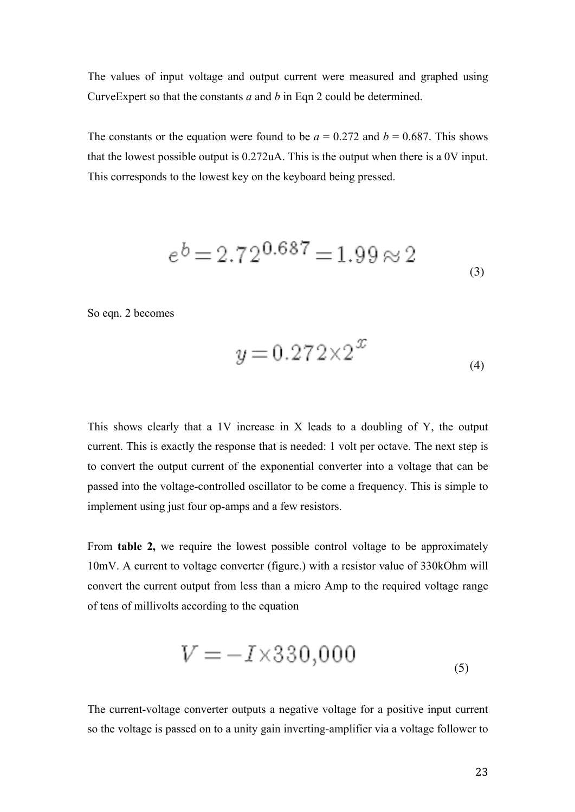The values of input voltage and output current were measured and graphed using CurveExpert so that the constants *a* and *b* in Eqn 2 could be determined.

The constants or the equation were found to be  $a = 0.272$  and  $b = 0.687$ . This shows that the lowest possible output is 0.272uA. This is the output when there is a 0V input. This corresponds to the lowest key on the keyboard being pressed.

$$
e^{b} = 2.72^{0.687} = 1.99 \approx 2
$$

So eqn. 2 becomes

$$
y = 0.272 \times 2^{x}
$$
 (4)

 $\overline{a}$ 

This shows clearly that a 1V increase in X leads to a doubling of Y, the output current. This is exactly the response that is needed: 1 volt per octave. The next step is to convert the output current of the exponential converter into a voltage that can be passed into the voltage-controlled oscillator to be come a frequency. This is simple to implement using just four op-amps and a few resistors.

From **table 2,** we require the lowest possible control voltage to be approximately 10mV. A current to voltage converter (figure.) with a resistor value of 330kOhm will convert the current output from less than a micro Amp to the required voltage range of tens of millivolts according to the equation

$$
V = -I \times 330,000
$$
\n<sup>(5)</sup>

The current-voltage converter outputs a negative voltage for a positive input current so the voltage is passed on to a unity gain inverting-amplifier via a voltage follower to